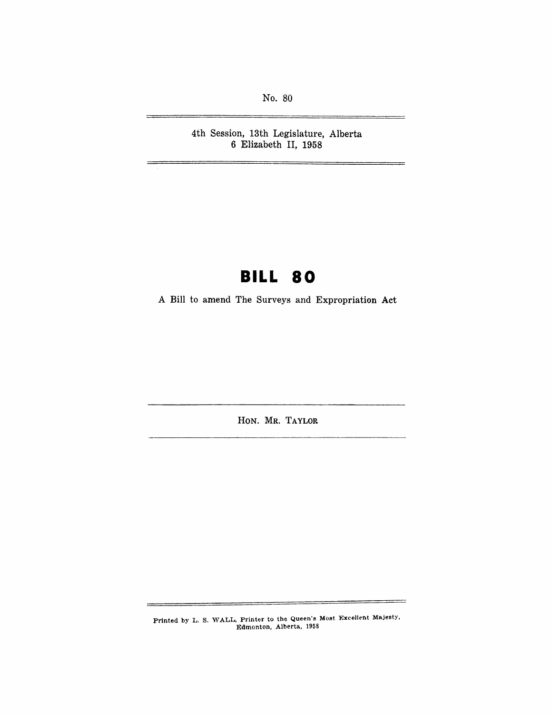No. 80

4th Session, 13th Legislature, Alberta 6 Elizabeth II, 1958

Ξ.

## **BILL 80**

A Bill to amend The Surveys and Expropriation Act

HON. MR. TAYLOR

Printed by L. S. WALL, Printer to the Queen's Most Excellent Majesty. Edmonton, Alberta, 1958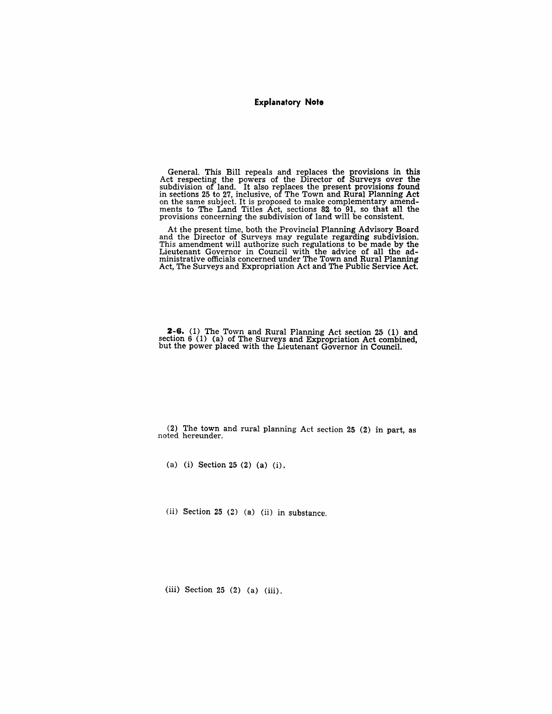#### **Explanatory Note**

General. This Bill repeals and replaces the provisions in this Act respecting the powers of the Director of Surveys over the subdivision of land. It also replaces the present provisions found in sections 25 to 27, inclusive, of The Town and Rural Planning Act on the same subject. It is proposed to make complementary amendments to The Land Titles Act, sections 82 to 91, so that all the provisions concerning the subdivision of land will be consistent.

At the present time, both the Provincial Planning Advisory Board and the Director of Surveys may regulate regarding subdivision. This amendment will authorize such regulations to be made by the Lieutenant Governor in Council with the advice of all the administrative officials concerned under The Town and Rural Planning<br>Act, The Surveys and Expropriation Act and The Public Service Act.

 $2-6$ . (1) The Town and Rural Planning Act section 25 (1) and section 6 (1) (a) of The Surveys and Expropriation Act combined, but the power placed with the Lieutenant Governor in Council.

(2) The town and rural planning Act section 25 (2) in part, as noted hereunder.

(a) (i) Section 25 (2) (a) (i).

(ii) Section 25 (2) (a) (ii) in substance.

(iii) Section 25 (2) (a) (iii).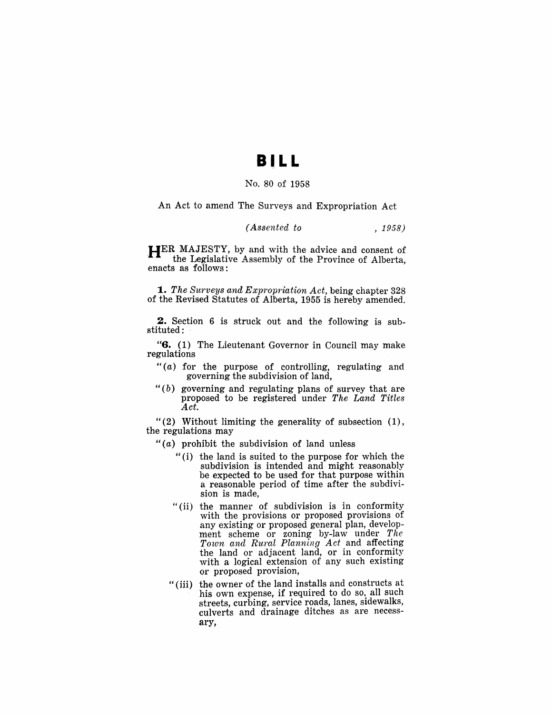### BILL

#### No. 80 of 1958

An Act to amend The Surveys and Expropriation Act

#### *(Assented to* , 1958)

**HER MAJESTY, by and with the advice and consent of the Legislative Assembly of the Province of Alberta,** enacts as follows:

*1. The Surveys and Expropriation Act,* being chapter 328 of the Revised Statutes of Alberta, 1955 is hereby amended.

2. Section 6 is struck out and the following is substituted:

"6. (1) The Lieutenant Governor in Council may make regulations

- " $(a)$  for the purpose of controlling, regulating and governing the subdivision of land,
- " $(b)$  governing and regulating plans of survey that are proposed to be registered under *The Land Titles Act.*

" $(2)$  Without limiting the generality of subsection  $(1)$ , the regulations may

- " $(a)$  prohibit the subdivision of land unless
	- "(i) the land is suited to the purpose for which the subdivision is intended and might reasonably be expected to be used for that purpose within a reasonable period of time after the subdivision is made,
	- "(ii) the manner of subdivision is in conformity with the provisions or proposed provisions of any existing or proposed general plan, development scheme or zoning by-law under *The Town and Rural Planning Act* and affecting the land or adjacent land, or in conformity with a logical extension of any such existing or proposed provision,
	- "(iii) the owner of the land installs and constructs at his own expense, if required to do so, all such streets, curbing, service roads, lanes, sidewalks, culverts and drainage ditches as are necessary,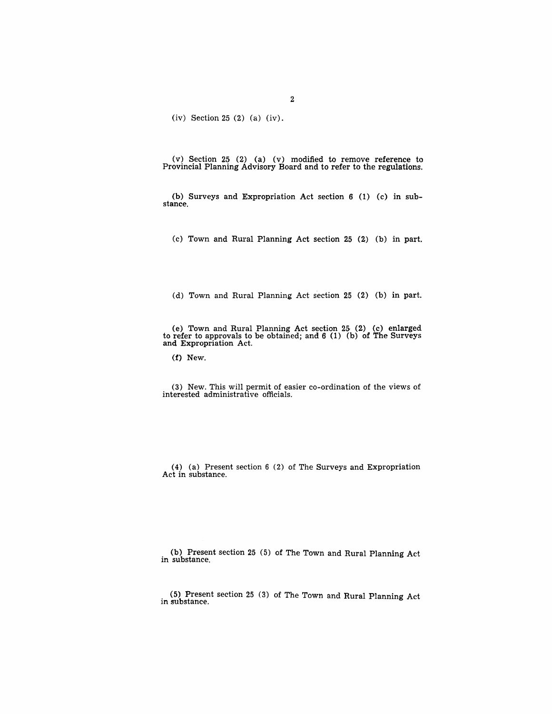(iv) Section 25 (2) (a) (iv).

(v) Section 25 (2) (a) (v) modified to remove reference to Provincial Planning Advisory Board and to refer to the regulations.

(b) Surveys and Expropriation Act section 6 (1) (c) in sub-stance.

(c) Town and Rural Planning Act section  $25$  (2) (b) in part.

(d) Town and Rural Planning Act section 25 (2) (b) in part.

(e) Town and Rural Planning Act section 25 (2) (c) enlarged to refer to approvals to be obtained; and 6 (1) (b) of The Surveys and Expropriation Act.

(f) New.

(3) New. This will permit of easier co-ordination of the views of interested administrative officials.

(4) (a) Present section 6 (2) of The Surveys and Expropriation Act in substance.

(b) Present section 25 (5) of The Town and Rural Planning Act in substance.

(5) Present section 25 (3) of The Town and Rural Planning Act in substance.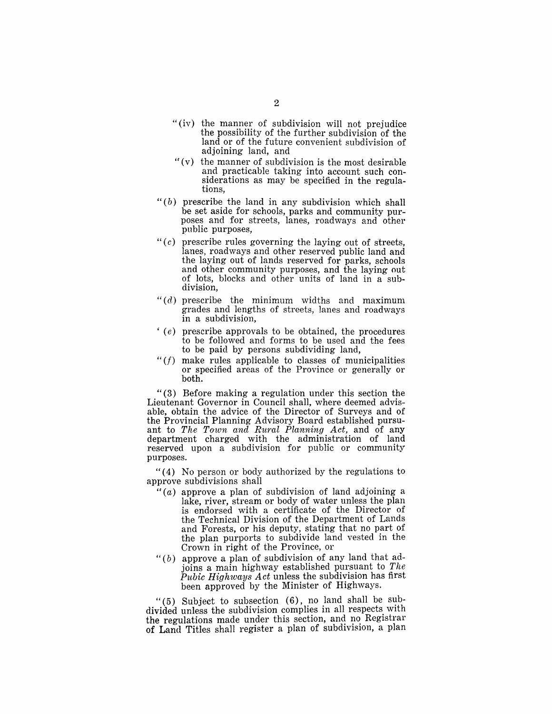- "(iv) the manner of subdivision will not prejudice the possibility of the further subdivision of the land or of the future convenient subdivision of adjoining land, and
- $f(v)$  the manner of subdivision is the most desirable and practicable taking into account such considerations as may be specified in the regulations,
- " $(b)$  prescribe the land in any subdivision which shall be set aside for schools, parks and community purposes and for streets, lanes, roadways and other public purposes,
- " $(c)$  prescribe rules governing the laying out of streets, lanes, roadways and other reserved public land and the laying out of lands reserved for parks, schools and other community purposes, and the laying out of lots, blocks and other units of land in a subdivision,
- " $(d)$  prescribe the minimum widths and maximum grades and lengths of streets, lanes and roadways in a subdivision,
- $(e)$  prescribe approvals to be obtained, the procedures to be followed and forms to be used and the fees to be paid by persons subdividing land,
- *"(f)* make rules applicable to classes of municipalities or specified areas of the Province or generally or both.

" (3) Before making a regulation under this section the Lieutenant Governor in Council shall, where deemed advisable, obtain the advice of the Director of Surveys and of the Provincial Planning Advisory Board established pursuant to *The Town and Rural Planning Act,* and of any department charged with the administration of land reserved upon a subdivision for public or community purposes.

"(4) No person or body authorized by the regulations to approve subdivisions shall

- " $(a)$  approve a plan of subdivision of land adjoining a lake, river, stream or body of water unless the plan is endorsed with a certificate of the Director of the Technical Division of the Department of Lands and Forests, or his deputy, stating that no part of the plan purports to subdivide land vested in the Crown in right of the Province, or
- " $(b)$  approve a plan of subdivision of any land that adjoins a main highway established pursuant to *The Pubic Highways Act* unless the subdivision has first been approved by the Minister of Highways.

"(5) Subject to subsection  $(6)$ , no land shall be subdivided unless the subdivision complies in all respects wIth the regulations made under this section, and no Registrar of Land Titles shall register a plan of subdivision, a plan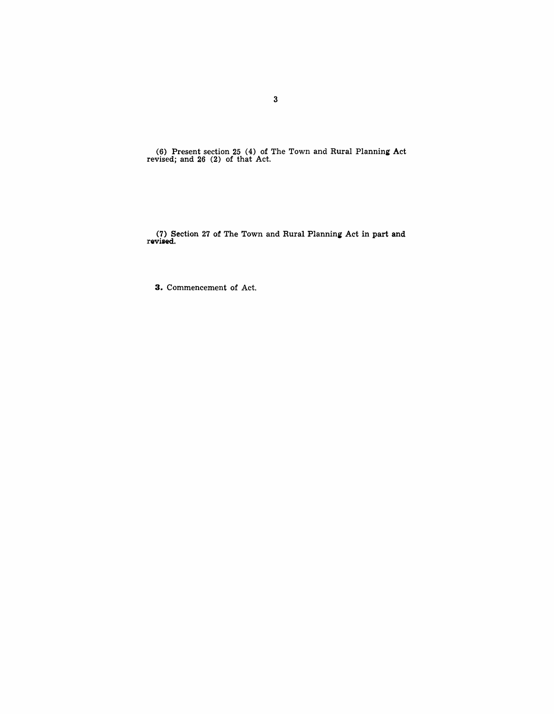(6) Present section 25 (4) of The Town and Rural Planning Act revised; and 26 (2) of that Act.

(7) Section 27 of The Town and Rural Planning Act in part and revised.

**3.** Commencement of Act.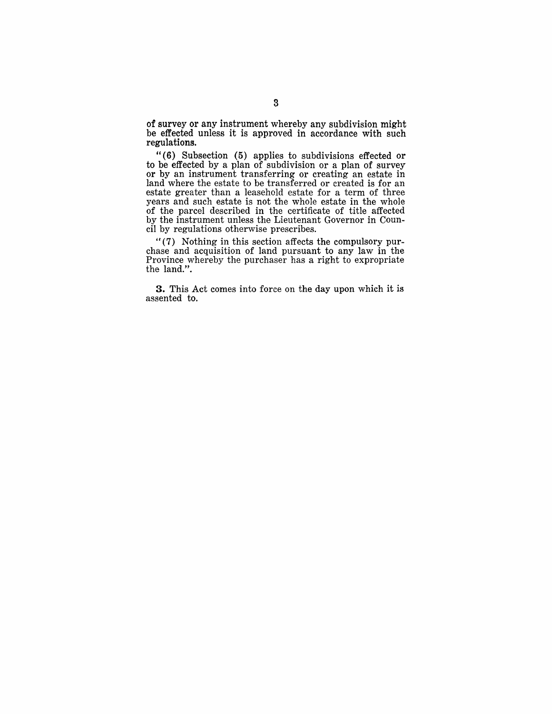of surveyor any instrument whereby any subdivision might be effected unless it is approved in accordance with such regulations.

"(6) Subsection (5) applies to subdivisions effected or to be effected by a plan of subdivision or a plan of survey or by an instrument transferring or creating an estate in land where the estate to be transferred or created is for an estate greater than a leasehold estate for a term of three years and such estate is not the whole estate in the whole of the parcel described in the certificate of title affected by the instrument unless the Lieutenant Governor in Council by regulations otherwise prescribes.

 $\cdot$  (7) Nothing in this section affects the compulsory purchase and acquisition of land pursuant to any law in the Province whereby the purchaser has a right to expropriate the land.".

3. This Act comes into force on the day upon which it is assented to.